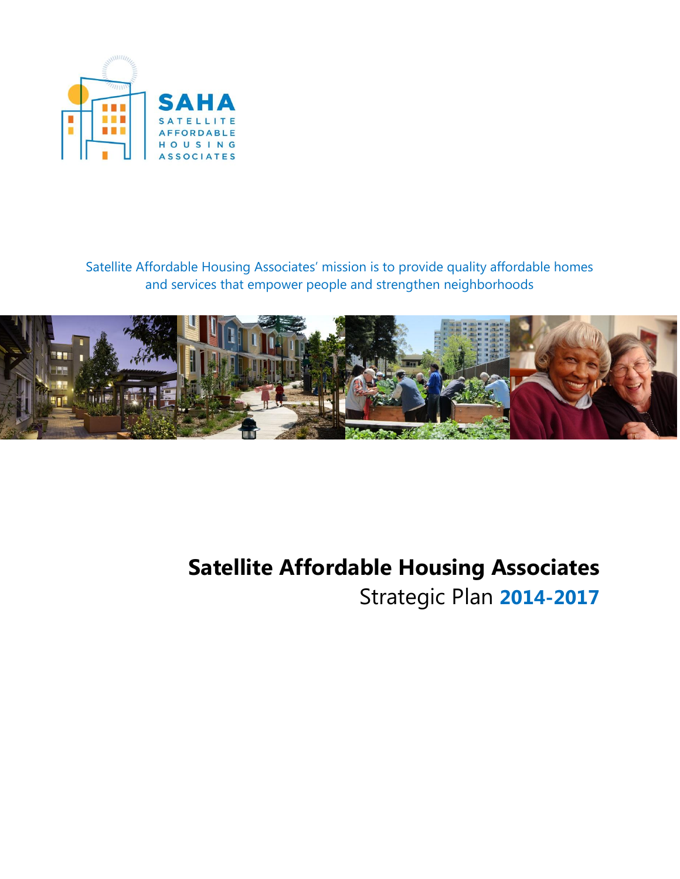

Satellite Affordable Housing Associates' mission is to provide quality affordable homes and services that empower people and strengthen neighborhoods



# **Satellite Affordable Housing Associates** Strategic Plan **2014-2017**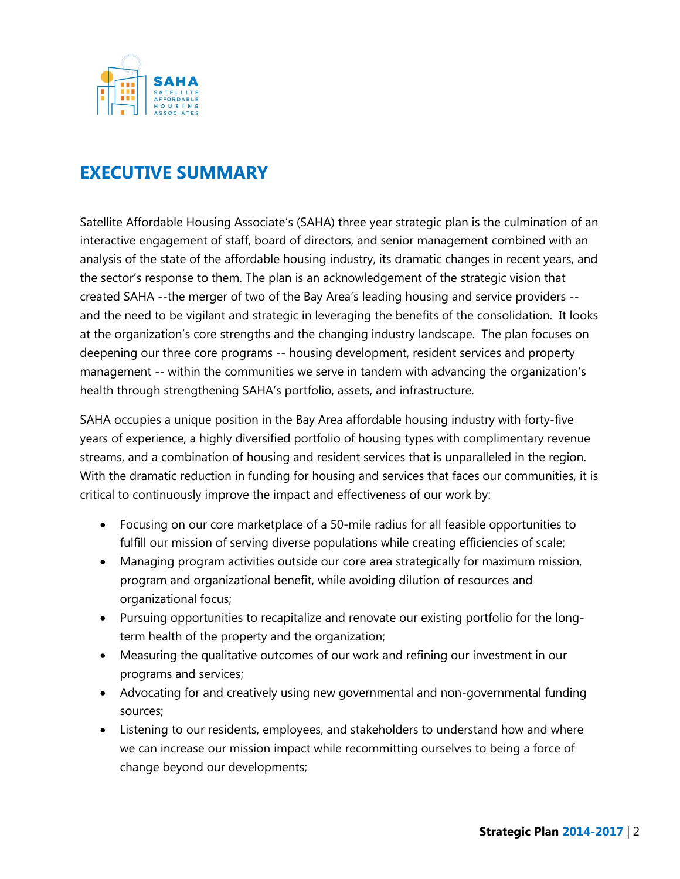

### **EXECUTIVE SUMMARY**

Satellite Affordable Housing Associate's (SAHA) three year strategic plan is the culmination of an interactive engagement of staff, board of directors, and senior management combined with an analysis of the state of the affordable housing industry, its dramatic changes in recent years, and the sector's response to them. The plan is an acknowledgement of the strategic vision that created SAHA --the merger of two of the Bay Area's leading housing and service providers - and the need to be vigilant and strategic in leveraging the benefits of the consolidation. It looks at the organization's core strengths and the changing industry landscape. The plan focuses on deepening our three core programs -- housing development, resident services and property management -- within the communities we serve in tandem with advancing the organization's health through strengthening SAHA's portfolio, assets, and infrastructure.

SAHA occupies a unique position in the Bay Area affordable housing industry with forty-five years of experience, a highly diversified portfolio of housing types with complimentary revenue streams, and a combination of housing and resident services that is unparalleled in the region. With the dramatic reduction in funding for housing and services that faces our communities, it is critical to continuously improve the impact and effectiveness of our work by:

- Focusing on our core marketplace of a 50-mile radius for all feasible opportunities to fulfill our mission of serving diverse populations while creating efficiencies of scale;
- Managing program activities outside our core area strategically for maximum mission, program and organizational benefit, while avoiding dilution of resources and organizational focus;
- Pursuing opportunities to recapitalize and renovate our existing portfolio for the longterm health of the property and the organization;
- Measuring the qualitative outcomes of our work and refining our investment in our programs and services;
- Advocating for and creatively using new governmental and non-governmental funding sources;
- Listening to our residents, employees, and stakeholders to understand how and where we can increase our mission impact while recommitting ourselves to being a force of change beyond our developments;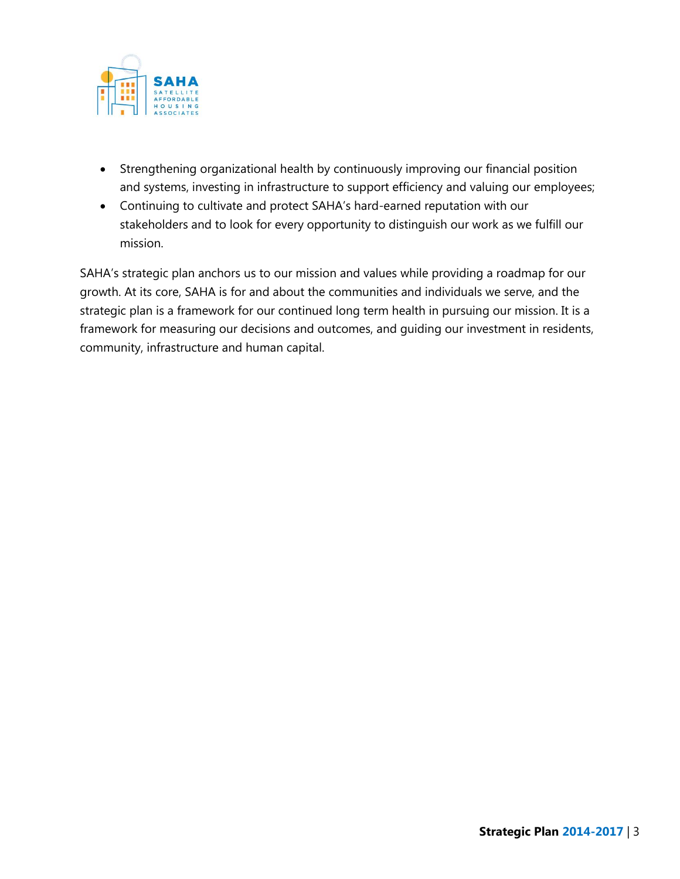

- Strengthening organizational health by continuously improving our financial position and systems, investing in infrastructure to support efficiency and valuing our employees;
- Continuing to cultivate and protect SAHA's hard-earned reputation with our stakeholders and to look for every opportunity to distinguish our work as we fulfill our mission.

SAHA's strategic plan anchors us to our mission and values while providing a roadmap for our growth. At its core, SAHA is for and about the communities and individuals we serve, and the strategic plan is a framework for our continued long term health in pursuing our mission. It is a framework for measuring our decisions and outcomes, and guiding our investment in residents, community, infrastructure and human capital.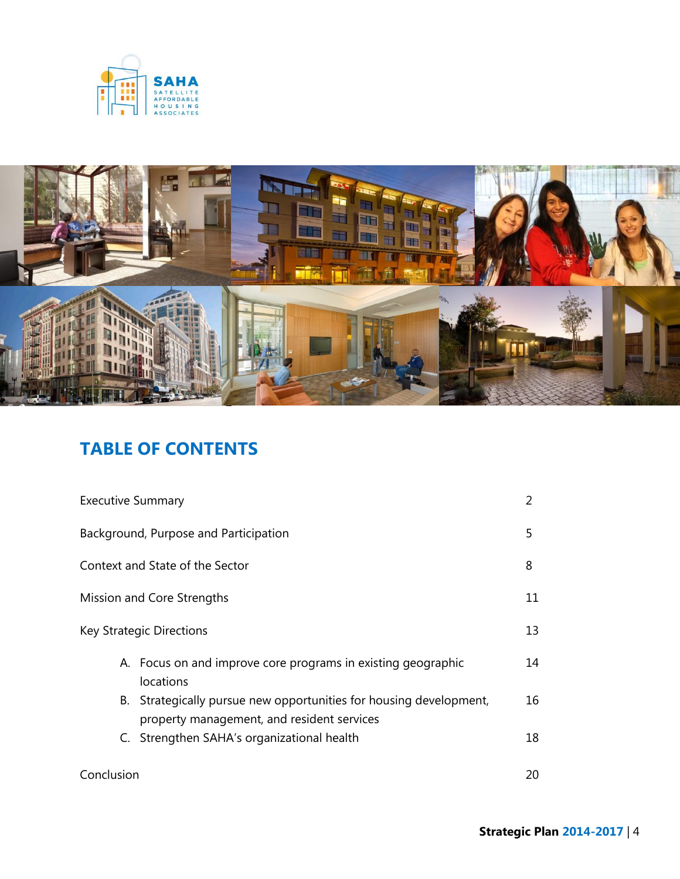



## **TABLE OF CONTENTS**

| <b>Executive Summary</b>              |                                                                                                                  | 2  |
|---------------------------------------|------------------------------------------------------------------------------------------------------------------|----|
| Background, Purpose and Participation |                                                                                                                  | 5. |
| Context and State of the Sector       |                                                                                                                  | 8  |
| Mission and Core Strengths            |                                                                                                                  | 11 |
| Key Strategic Directions              |                                                                                                                  | 13 |
|                                       | A. Focus on and improve core programs in existing geographic<br>locations                                        | 14 |
|                                       | B. Strategically pursue new opportunities for housing development,<br>property management, and resident services | 16 |
|                                       | C. Strengthen SAHA's organizational health                                                                       | 18 |
| Conclusion                            |                                                                                                                  | 20 |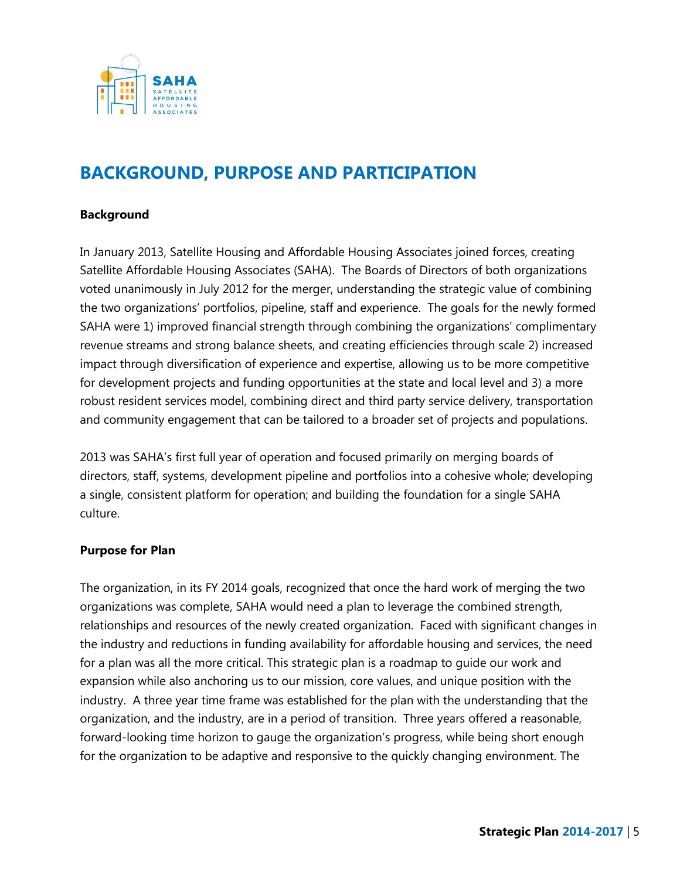

### **BACKGROUND, PURPOSE AND PARTICIPATION**

#### **Background**

In January 2013, Satellite Housing and Affordable Housing Associates joined forces, creating Satellite Affordable Housing Associates (SAHA). The Boards of Directors of both organizations voted unanimously in July 2012 for the merger, understanding the strategic value of combining the two organizations' portfolios, pipeline, staff and experience. The goals for the newly formed SAHA were 1) improved financial strength through combining the organizations' complimentary revenue streams and strong balance sheets, and creating efficiencies through scale 2) increased impact through diversification of experience and expertise, allowing us to be more competitive for development projects and funding opportunities at the state and local level and 3) a more robust resident services model, combining direct and third party service delivery, transportation and community engagement that can be tailored to a broader set of projects and populations.

2013 was SAHA's first full year of operation and focused primarily on merging boards of directors, staff, systems, development pipeline and portfolios into a cohesive whole; developing a single, consistent platform for operation; and building the foundation for a single SAHA culture.

#### **Purpose for Plan**

The organization, in its FY 2014 goals, recognized that once the hard work of merging the two organizations was complete, SAHA would need a plan to leverage the combined strength, relationships and resources of the newly created organization. Faced with significant changes in the industry and reductions in funding availability for affordable housing and services, the need for a plan was all the more critical. This strategic plan is a roadmap to guide our work and expansion while also anchoring us to our mission, core values, and unique position with the industry. A three year time frame was established for the plan with the understanding that the organization, and the industry, are in a period of transition. Three years offered a reasonable, forward-looking time horizon to gauge the organization's progress, while being short enough for the organization to be adaptive and responsive to the quickly changing environment. The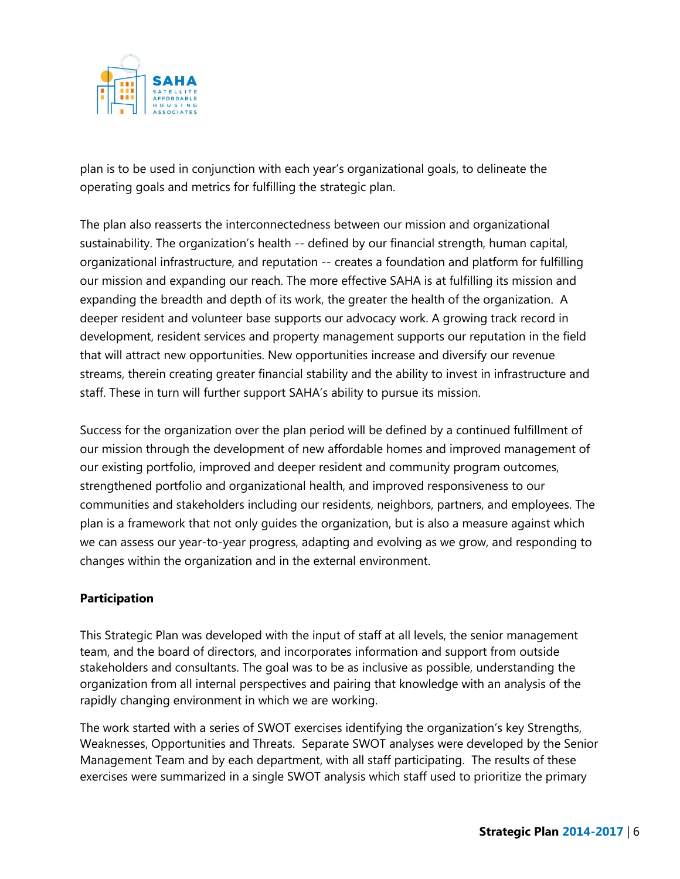

plan is to be used in conjunction with each year's organizational goals, to delineate the operating goals and metrics for fulfilling the strategic plan.

The plan also reasserts the interconnectedness between our mission and organizational sustainability. The organization's health -- defined by our financial strength, human capital, organizational infrastructure, and reputation -- creates a foundation and platform for fulfilling our mission and expanding our reach. The more effective SAHA is at fulfilling its mission and expanding the breadth and depth of its work, the greater the health of the organization. A deeper resident and volunteer base supports our advocacy work. A growing track record in development, resident services and property management supports our reputation in the field that will attract new opportunities. New opportunities increase and diversify our revenue streams, therein creating greater financial stability and the ability to invest in infrastructure and staff. These in turn will further support SAHA's ability to pursue its mission.

Success for the organization over the plan period will be defined by a continued fulfillment of our mission through the development of new affordable homes and improved management of our existing portfolio, improved and deeper resident and community program outcomes, strengthened portfolio and organizational health, and improved responsiveness to our communities and stakeholders including our residents, neighbors, partners, and employees. The plan is a framework that not only guides the organization, but is also a measure against which we can assess our year-to-year progress, adapting and evolving as we grow, and responding to changes within the organization and in the external environment.

### **Participation**

This Strategic Plan was developed with the input of staff at all levels, the senior management team, and the board of directors, and incorporates information and support from outside stakeholders and consultants. The goal was to be as inclusive as possible, understanding the organization from all internal perspectives and pairing that knowledge with an analysis of the rapidly changing environment in which we are working.

The work started with a series of SWOT exercises identifying the organization's key Strengths, Weaknesses, Opportunities and Threats. Separate SWOT analyses were developed by the Senior Management Team and by each department, with all staff participating. The results of these exercises were summarized in a single SWOT analysis which staff used to prioritize the primary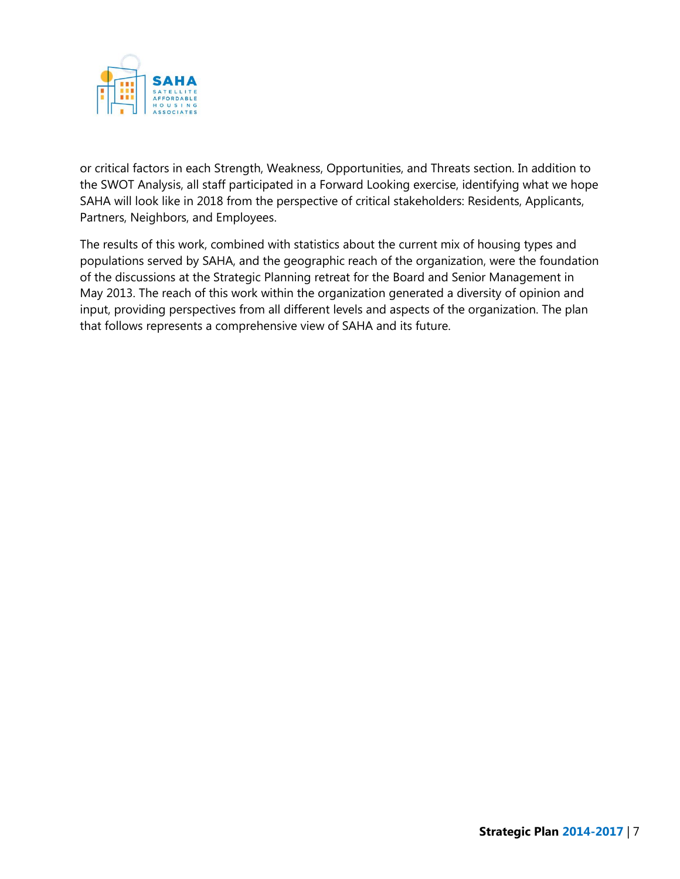

or critical factors in each Strength, Weakness, Opportunities, and Threats section. In addition to the SWOT Analysis, all staff participated in a Forward Looking exercise, identifying what we hope SAHA will look like in 2018 from the perspective of critical stakeholders: Residents, Applicants, Partners, Neighbors, and Employees.

The results of this work, combined with statistics about the current mix of housing types and populations served by SAHA, and the geographic reach of the organization, were the foundation of the discussions at the Strategic Planning retreat for the Board and Senior Management in May 2013. The reach of this work within the organization generated a diversity of opinion and input, providing perspectives from all different levels and aspects of the organization. The plan that follows represents a comprehensive view of SAHA and its future.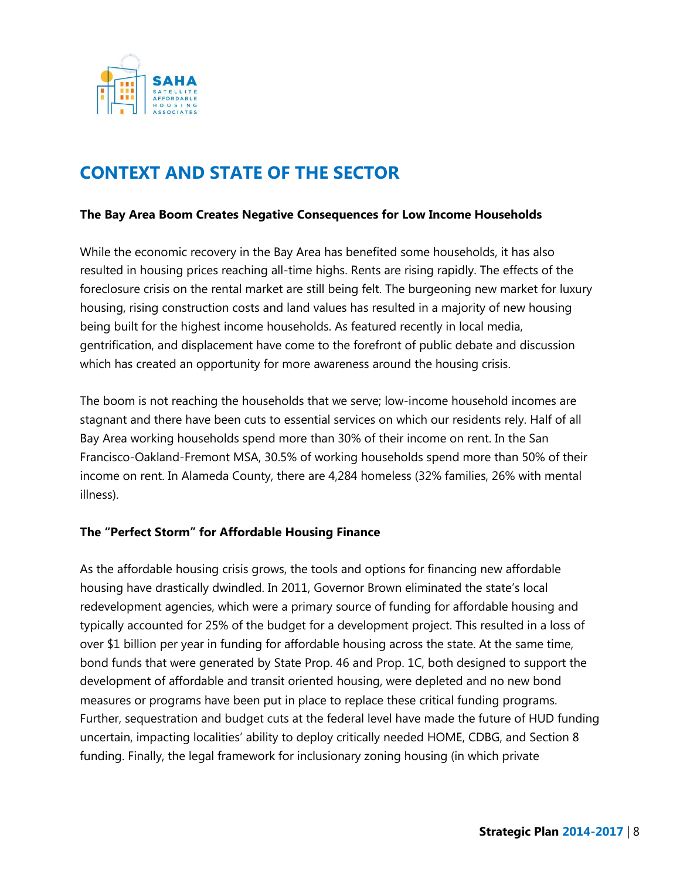

### **CONTEXT AND STATE OF THE SECTOR**

#### **The Bay Area Boom Creates Negative Consequences for Low Income Households**

While the economic recovery in the Bay Area has benefited some households, it has also resulted in housing prices reaching all-time highs. Rents are rising rapidly. The effects of the foreclosure crisis on the rental market are still being felt. The burgeoning new market for luxury housing, rising construction costs and land values has resulted in a majority of new housing being built for the highest income households. As featured recently in local media, gentrification, and displacement have come to the forefront of public debate and discussion which has created an opportunity for more awareness around the housing crisis.

The boom is not reaching the households that we serve; low-income household incomes are stagnant and there have been cuts to essential services on which our residents rely. Half of all Bay Area working households spend more than 30% of their income on rent. In the San Francisco-Oakland-Fremont MSA, 30.5% of working households spend more than 50% of their income on rent. In Alameda County, there are 4,284 homeless (32% families, 26% with mental illness).

#### **The "Perfect Storm" for Affordable Housing Finance**

As the affordable housing crisis grows, the tools and options for financing new affordable housing have drastically dwindled. In 2011, Governor Brown eliminated the state's local redevelopment agencies, which were a primary source of funding for affordable housing and typically accounted for 25% of the budget for a development project. This resulted in a loss of over \$1 billion per year in funding for affordable housing across the state. At the same time, bond funds that were generated by State Prop. 46 and Prop. 1C, both designed to support the development of affordable and transit oriented housing, were depleted and no new bond measures or programs have been put in place to replace these critical funding programs. Further, sequestration and budget cuts at the federal level have made the future of HUD funding uncertain, impacting localities' ability to deploy critically needed HOME, CDBG, and Section 8 funding. Finally, the legal framework for inclusionary zoning housing (in which private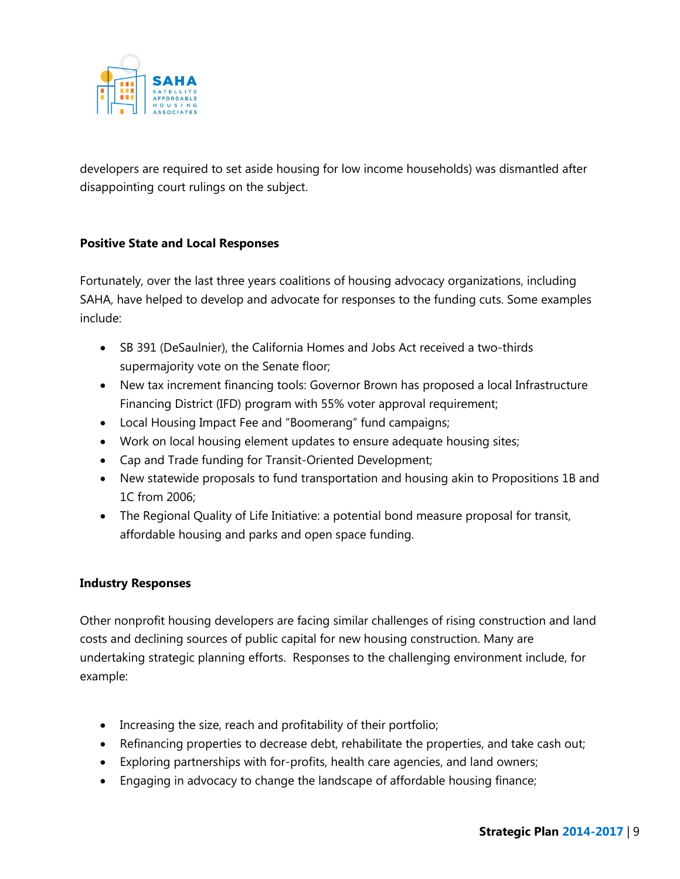

developers are required to set aside housing for low income households) was dismantled after disappointing court rulings on the subject.

#### **Positive State and Local Responses**

Fortunately, over the last three years coalitions of housing advocacy organizations, including SAHA, have helped to develop and advocate for responses to the funding cuts. Some examples include:

- SB 391 (DeSaulnier), the California Homes and Jobs Act received a two-thirds supermajority vote on the Senate floor;
- New tax increment financing tools: Governor Brown has proposed a local Infrastructure Financing District (IFD) program with 55% voter approval requirement;
- Local Housing Impact Fee and "Boomerang" fund campaigns;
- Work on local housing element updates to ensure adequate housing sites;
- Cap and Trade funding for Transit-Oriented Development;
- New statewide proposals to fund transportation and housing akin to Propositions 1B and 1C from 2006;
- The Regional Quality of Life Initiative: a potential bond measure proposal for transit, affordable housing and parks and open space funding.

### **Industry Responses**

Other nonprofit housing developers are facing similar challenges of rising construction and land costs and declining sources of public capital for new housing construction. Many are undertaking strategic planning efforts. Responses to the challenging environment include, for example:

- Increasing the size, reach and profitability of their portfolio;
- Refinancing properties to decrease debt, rehabilitate the properties, and take cash out;
- Exploring partnerships with for-profits, health care agencies, and land owners;
- Engaging in advocacy to change the landscape of affordable housing finance;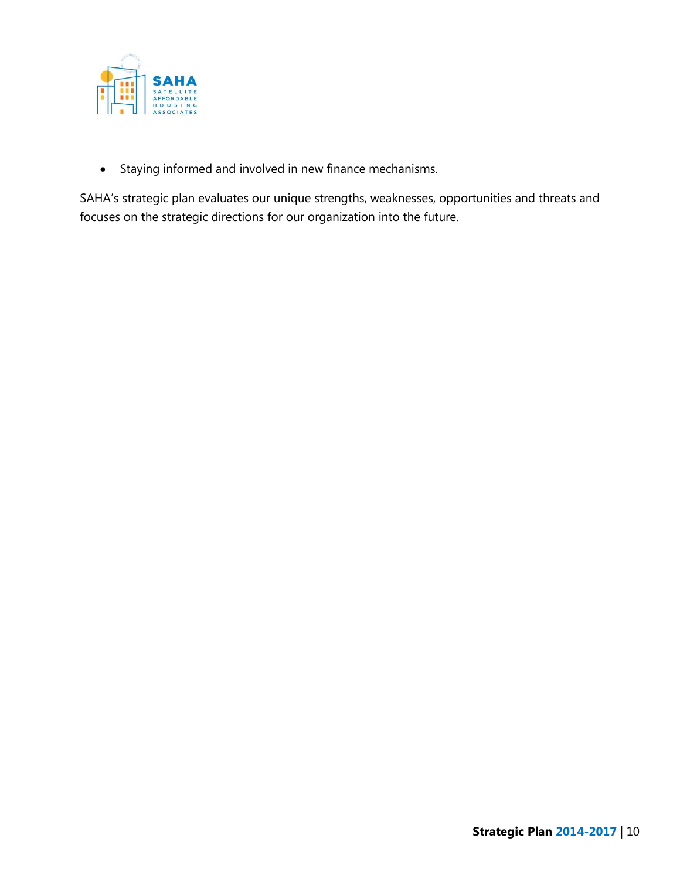

Staying informed and involved in new finance mechanisms.

SAHA's strategic plan evaluates our unique strengths, weaknesses, opportunities and threats and focuses on the strategic directions for our organization into the future.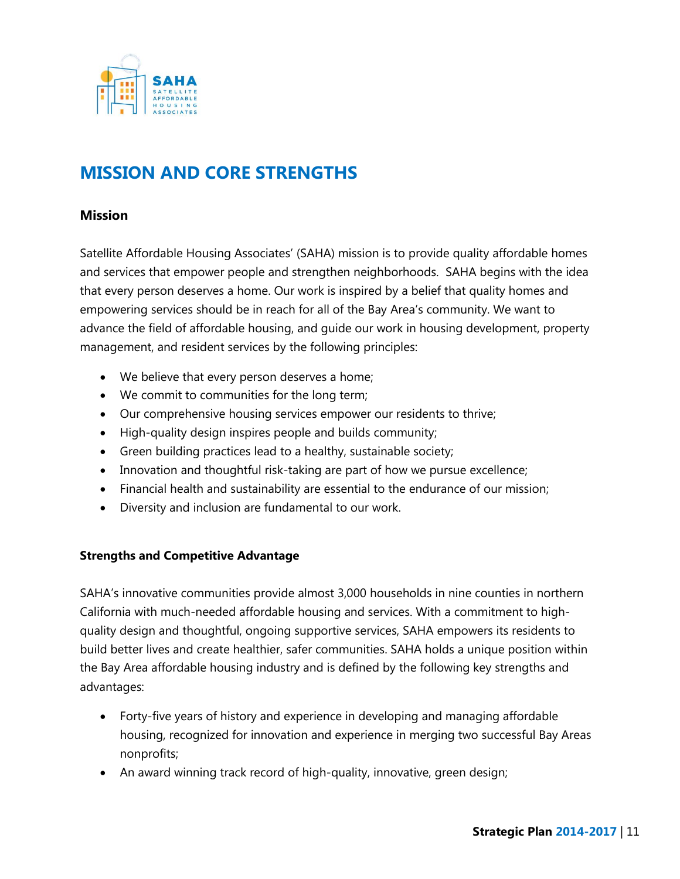

### **MISSION AND CORE STRENGTHS**

#### **Mission**

Satellite Affordable Housing Associates' (SAHA) mission is to provide quality affordable homes and services that empower people and strengthen neighborhoods. SAHA begins with the idea that every person deserves a home. Our work is inspired by a belief that quality homes and empowering services should be in reach for all of the Bay Area's community. We want to advance the field of affordable housing, and guide our work in housing development, property management, and resident services by the following principles:

- We believe that every person deserves a home;
- We commit to communities for the long term;
- Our comprehensive housing services empower our residents to thrive;
- High-quality design inspires people and builds community;
- Green building practices lead to a healthy, sustainable society;
- Innovation and thoughtful risk-taking are part of how we pursue excellence;
- Financial health and sustainability are essential to the endurance of our mission;
- Diversity and inclusion are fundamental to our work.

#### **Strengths and Competitive Advantage**

SAHA's innovative communities provide almost 3,000 households in nine counties in northern California with much-needed affordable housing and services. With a commitment to highquality design and thoughtful, ongoing supportive services, SAHA empowers its residents to build better lives and create healthier, safer communities. SAHA holds a unique position within the Bay Area affordable housing industry and is defined by the following key strengths and advantages:

- Forty-five years of history and experience in developing and managing affordable housing, recognized for innovation and experience in merging two successful Bay Areas nonprofits;
- An award winning track record of high-quality, innovative, green design;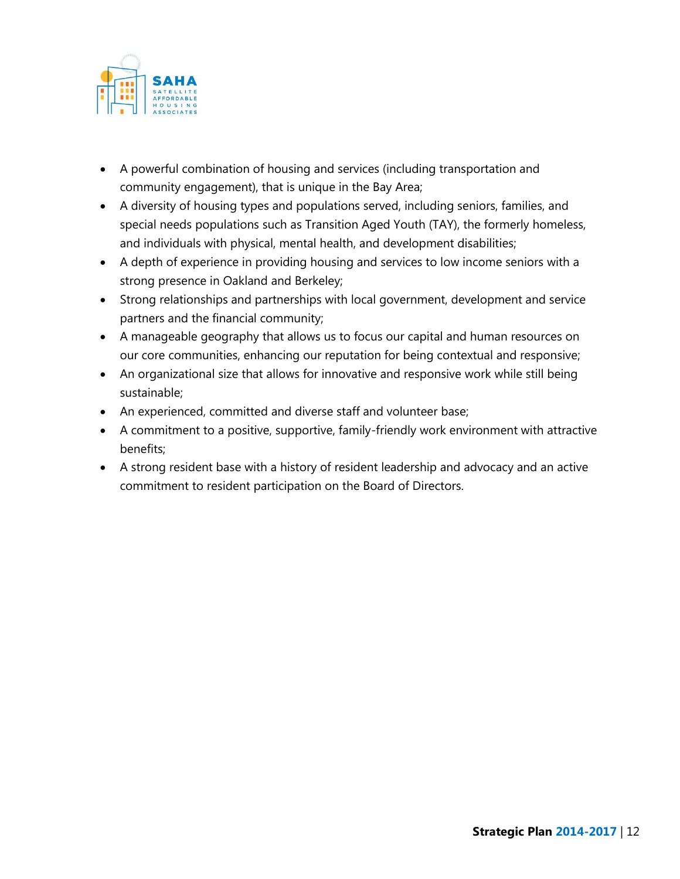

- A powerful combination of housing and services (including transportation and community engagement), that is unique in the Bay Area;
- A diversity of housing types and populations served, including seniors, families, and special needs populations such as Transition Aged Youth (TAY), the formerly homeless, and individuals with physical, mental health, and development disabilities;
- A depth of experience in providing housing and services to low income seniors with a strong presence in Oakland and Berkeley;
- Strong relationships and partnerships with local government, development and service partners and the financial community;
- A manageable geography that allows us to focus our capital and human resources on our core communities, enhancing our reputation for being contextual and responsive;
- An organizational size that allows for innovative and responsive work while still being sustainable;
- An experienced, committed and diverse staff and volunteer base;
- A commitment to a positive, supportive, family-friendly work environment with attractive benefits;
- A strong resident base with a history of resident leadership and advocacy and an active commitment to resident participation on the Board of Directors.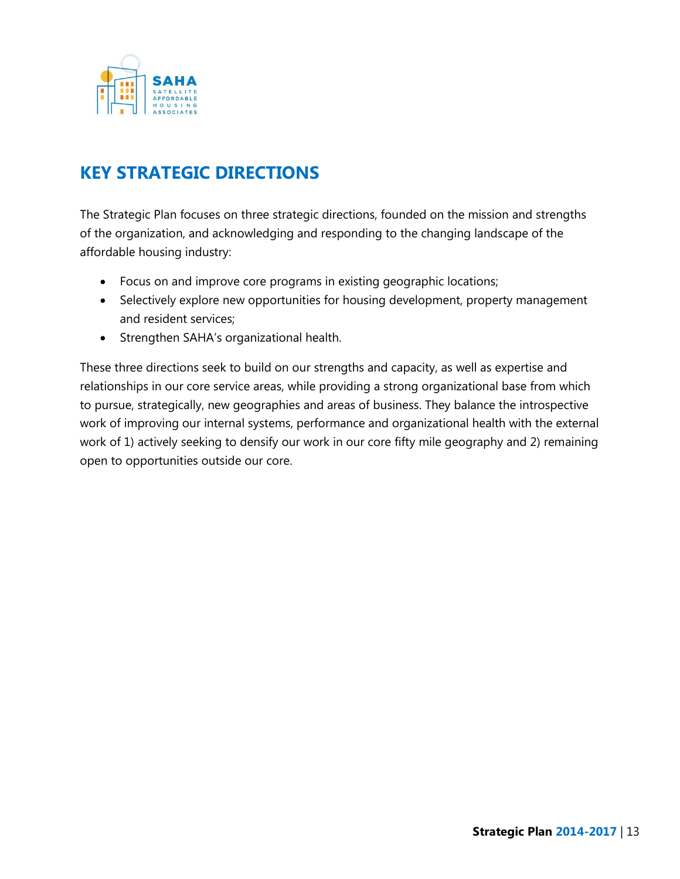

### **KEY STRATEGIC DIRECTIONS**

The Strategic Plan focuses on three strategic directions, founded on the mission and strengths of the organization, and acknowledging and responding to the changing landscape of the affordable housing industry:

- Focus on and improve core programs in existing geographic locations;
- Selectively explore new opportunities for housing development, property management and resident services;
- Strengthen SAHA's organizational health.

These three directions seek to build on our strengths and capacity, as well as expertise and relationships in our core service areas, while providing a strong organizational base from which to pursue, strategically, new geographies and areas of business. They balance the introspective work of improving our internal systems, performance and organizational health with the external work of 1) actively seeking to densify our work in our core fifty mile geography and 2) remaining open to opportunities outside our core.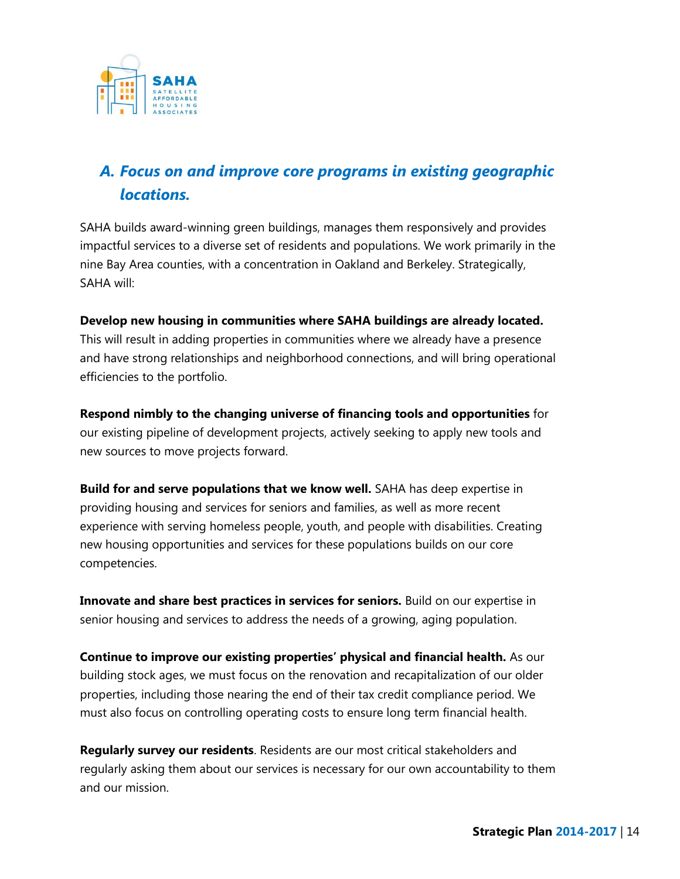

### *A. Focus on and improve core programs in existing geographic locations.*

SAHA builds award-winning green buildings, manages them responsively and provides impactful services to a diverse set of residents and populations. We work primarily in the nine Bay Area counties, with a concentration in Oakland and Berkeley. Strategically, SAHA will:

#### **Develop new housing in communities where SAHA buildings are already located.**

This will result in adding properties in communities where we already have a presence and have strong relationships and neighborhood connections, and will bring operational efficiencies to the portfolio.

**Respond nimbly to the changing universe of financing tools and opportunities** for our existing pipeline of development projects, actively seeking to apply new tools and new sources to move projects forward.

**Build for and serve populations that we know well.** SAHA has deep expertise in providing housing and services for seniors and families, as well as more recent experience with serving homeless people, youth, and people with disabilities. Creating new housing opportunities and services for these populations builds on our core competencies.

**Innovate and share best practices in services for seniors.** Build on our expertise in senior housing and services to address the needs of a growing, aging population.

**Continue to improve our existing properties' physical and financial health.** As our building stock ages, we must focus on the renovation and recapitalization of our older properties, including those nearing the end of their tax credit compliance period. We must also focus on controlling operating costs to ensure long term financial health.

**Regularly survey our residents**. Residents are our most critical stakeholders and regularly asking them about our services is necessary for our own accountability to them and our mission.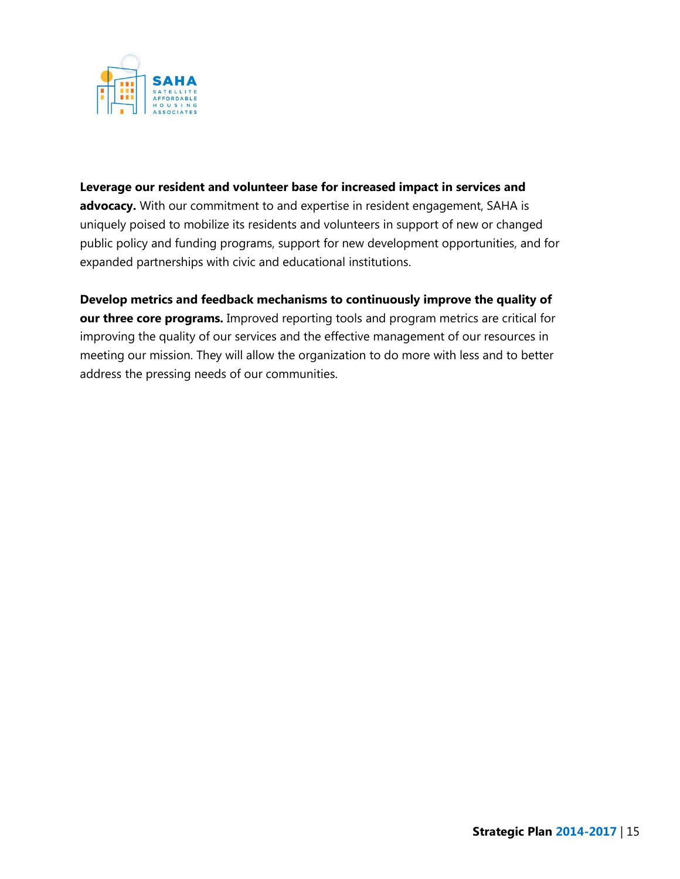

#### **Leverage our resident and volunteer base for increased impact in services and**

advocacy. With our commitment to and expertise in resident engagement, SAHA is uniquely poised to mobilize its residents and volunteers in support of new or changed public policy and funding programs, support for new development opportunities, and for expanded partnerships with civic and educational institutions.

**Develop metrics and feedback mechanisms to continuously improve the quality of our three core programs.** Improved reporting tools and program metrics are critical for improving the quality of our services and the effective management of our resources in meeting our mission. They will allow the organization to do more with less and to better address the pressing needs of our communities.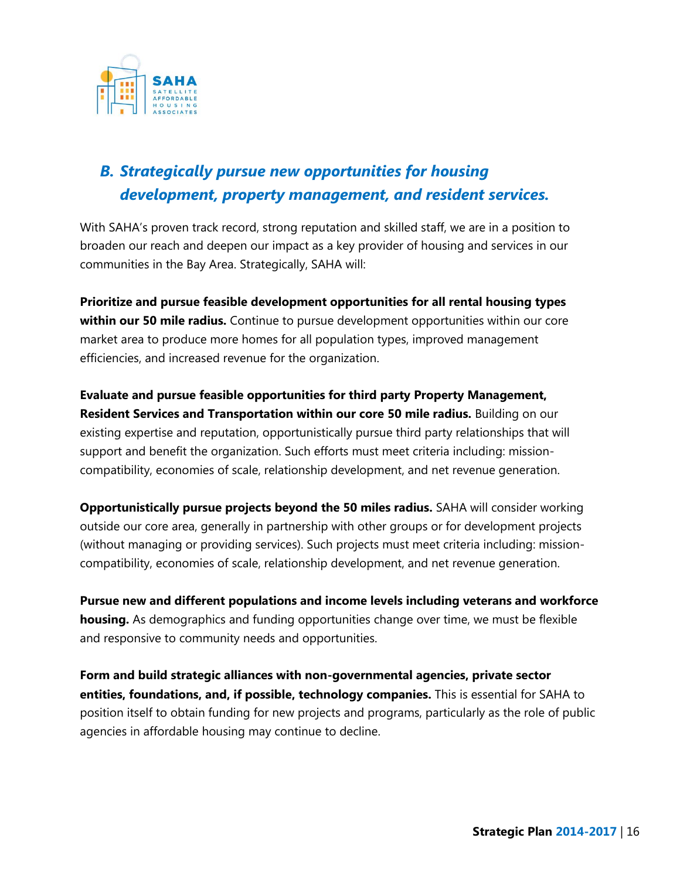

### *B. Strategically pursue new opportunities for housing development, property management, and resident services.*

With SAHA's proven track record, strong reputation and skilled staff, we are in a position to broaden our reach and deepen our impact as a key provider of housing and services in our communities in the Bay Area. Strategically, SAHA will:

**Prioritize and pursue feasible development opportunities for all rental housing types within our 50 mile radius.** Continue to pursue development opportunities within our core market area to produce more homes for all population types, improved management efficiencies, and increased revenue for the organization.

**Evaluate and pursue feasible opportunities for third party Property Management, Resident Services and Transportation within our core 50 mile radius.** Building on our existing expertise and reputation, opportunistically pursue third party relationships that will support and benefit the organization. Such efforts must meet criteria including: missioncompatibility, economies of scale, relationship development, and net revenue generation.

**Opportunistically pursue projects beyond the 50 miles radius.** SAHA will consider working outside our core area, generally in partnership with other groups or for development projects (without managing or providing services). Such projects must meet criteria including: missioncompatibility, economies of scale, relationship development, and net revenue generation.

**Pursue new and different populations and income levels including veterans and workforce housing.** As demographics and funding opportunities change over time, we must be flexible and responsive to community needs and opportunities.

**Form and build strategic alliances with non-governmental agencies, private sector entities, foundations, and, if possible, technology companies.** This is essential for SAHA to position itself to obtain funding for new projects and programs, particularly as the role of public agencies in affordable housing may continue to decline.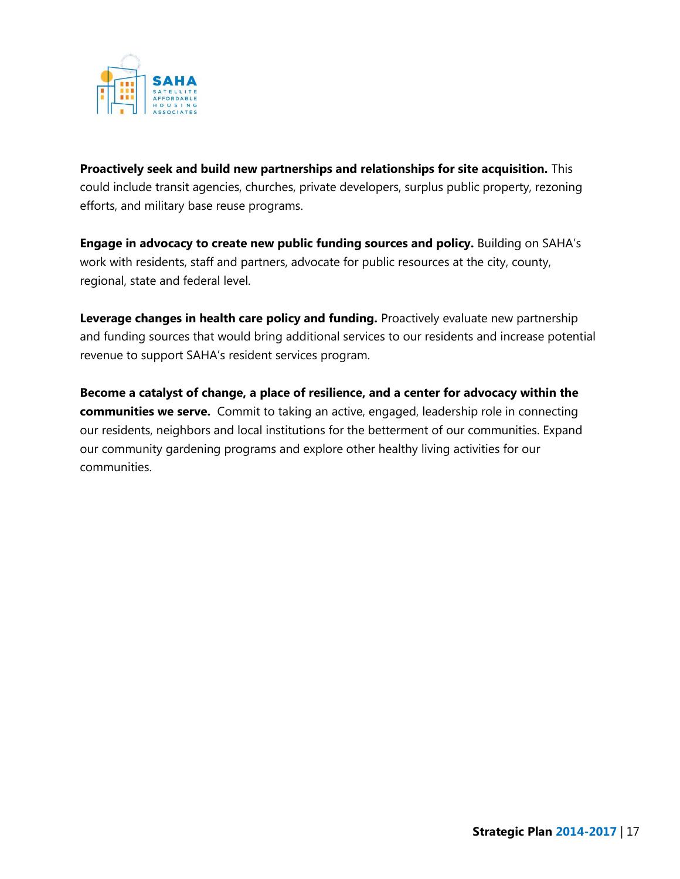

**Proactively seek and build new partnerships and relationships for site acquisition.** This could include transit agencies, churches, private developers, surplus public property, rezoning efforts, and military base reuse programs.

**Engage in advocacy to create new public funding sources and policy.** Building on SAHA's work with residents, staff and partners, advocate for public resources at the city, county, regional, state and federal level.

**Leverage changes in health care policy and funding.** Proactively evaluate new partnership and funding sources that would bring additional services to our residents and increase potential revenue to support SAHA's resident services program.

**Become a catalyst of change, a place of resilience, and a center for advocacy within the communities we serve.** Commit to taking an active, engaged, leadership role in connecting our residents, neighbors and local institutions for the betterment of our communities. Expand our community gardening programs and explore other healthy living activities for our communities.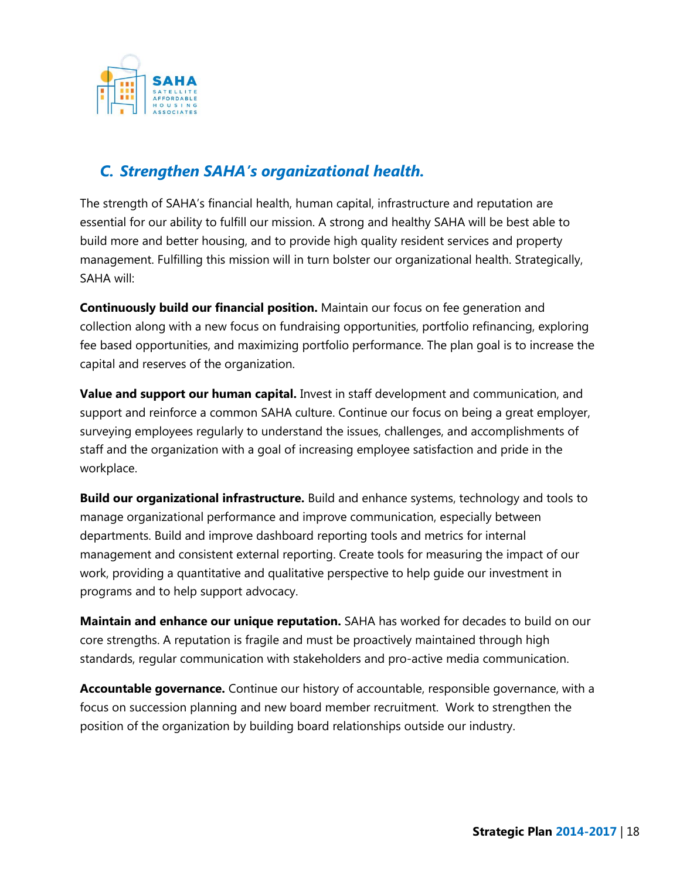

### *C. Strengthen SAHA's organizational health.*

The strength of SAHA's financial health, human capital, infrastructure and reputation are essential for our ability to fulfill our mission. A strong and healthy SAHA will be best able to build more and better housing, and to provide high quality resident services and property management. Fulfilling this mission will in turn bolster our organizational health. Strategically, SAHA will:

**Continuously build our financial position.** Maintain our focus on fee generation and collection along with a new focus on fundraising opportunities, portfolio refinancing, exploring fee based opportunities, and maximizing portfolio performance. The plan goal is to increase the capital and reserves of the organization.

**Value and support our human capital.** Invest in staff development and communication, and support and reinforce a common SAHA culture. Continue our focus on being a great employer, surveying employees regularly to understand the issues, challenges, and accomplishments of staff and the organization with a goal of increasing employee satisfaction and pride in the workplace.

**Build our organizational infrastructure.** Build and enhance systems, technology and tools to manage organizational performance and improve communication, especially between departments. Build and improve dashboard reporting tools and metrics for internal management and consistent external reporting. Create tools for measuring the impact of our work, providing a quantitative and qualitative perspective to help guide our investment in programs and to help support advocacy.

**Maintain and enhance our unique reputation.** SAHA has worked for decades to build on our core strengths. A reputation is fragile and must be proactively maintained through high standards, regular communication with stakeholders and pro-active media communication.

**Accountable governance.** Continue our history of accountable, responsible governance, with a focus on succession planning and new board member recruitment. Work to strengthen the position of the organization by building board relationships outside our industry.